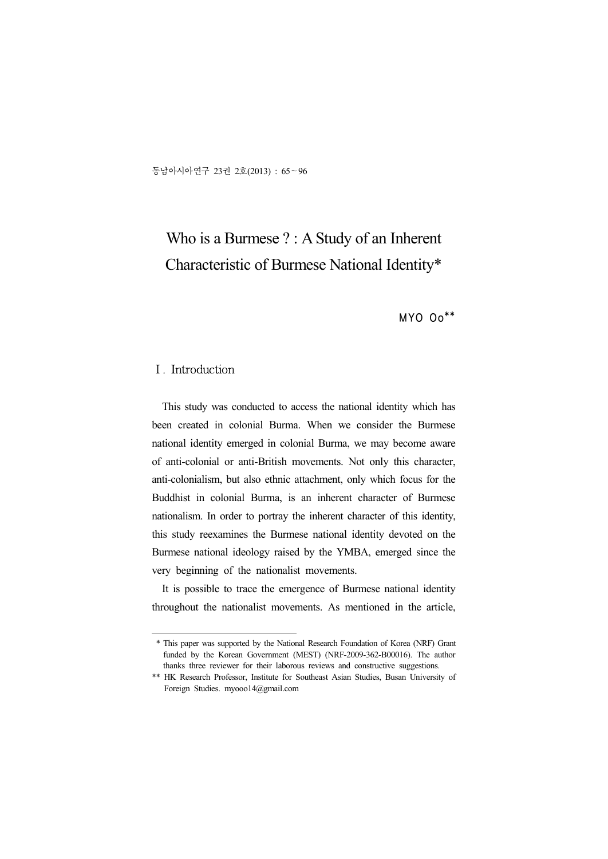동남아시아연구 23권 2호(2013) : 65~96

# Who is a Burmese ? : A Study of an Inherent Characteristic of Burmese National Identity\*

MYO Oo\*\*

## Ⅰ. Introduction

This study was conducted to access the national identity which has been created in colonial Burma. When we consider the Burmese national identity emerged in colonial Burma, we may become aware of anti-colonial or anti-British movements. Not only this character, anti-colonialism, but also ethnic attachment, only which focus for the Buddhist in colonial Burma, is an inherent character of Burmese nationalism. In order to portray the inherent character of this identity, this study reexamines the Burmese national identity devoted on the Burmese national ideology raised by the YMBA, emerged since the very beginning of the nationalist movements.

It is possible to trace the emergence of Burmese national identity throughout the nationalist movements. As mentioned in the article,

<sup>\*</sup> This paper was supported by the National Research Foundation of Korea (NRF) Grant funded by the Korean Government (MEST) (NRF-2009-362-B00016). The author thanks three reviewer for their laborous reviews and constructive suggestions.

<sup>\*\*</sup> HK Research Professor, Institute for Southeast Asian Studies, Busan University of Foreign Studies. myooo14@gmail.com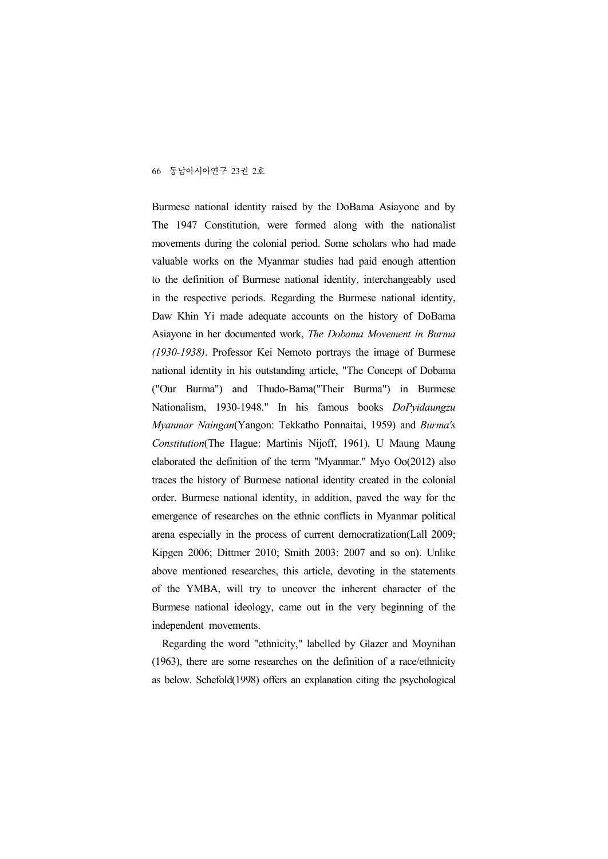Burmese national identity raised by the DoBama Asiayone and by The 1947 Constitution, were formed along with the nationalist movements during the colonial period. Some scholars who had made valuable works on the Myanmar studies had paid enough attention to the definition of Burmese national identity, interchangeably used in the respective periods. Regarding the Burmese national identity, Daw Khin Yi made adequate accounts on the history of DoBama Asiayone in her documented work, *The Dobama Movement in Burma (1930-1938)*. Professor Kei Nemoto portrays the image of Burmese national identity in his outstanding article, "The Concept of Dobama ("Our Burma") and Thudo-Bama("Their Burma") in Burmese Nationalism, 1930-1948." In his famous books *DoPyidaungzu Myanmar Naingan*(Yangon: Tekkatho Ponnaitai, 1959) and *Burma's Constitution*(The Hague: Martinis Nijoff, 1961), U Maung Maung elaborated the definition of the term "Myanmar." Myo Oo(2012) also traces the history of Burmese national identity created in the colonial order. Burmese national identity, in addition, paved the way for the emergence of researches on the ethnic conflicts in Myanmar political arena especially in the process of current democratization(Lall 2009; Kipgen 2006; Dittmer 2010; Smith 2003: 2007 and so on). Unlike above mentioned researches, this article, devoting in the statements of the YMBA, will try to uncover the inherent character of the Burmese national ideology, came out in the very beginning of the independent movements.

Regarding the word "ethnicity," labelled by Glazer and Moynihan (1963), there are some researches on the definition of a race/ethnicity as below. Schefold(1998) offers an explanation citing the psychological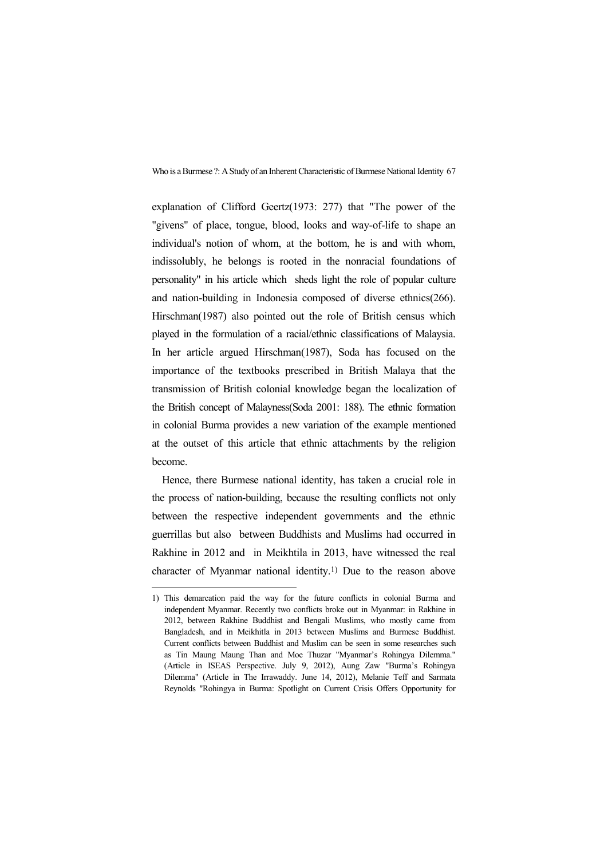explanation of Clifford Geertz(1973: 277) that "The power of the "givens" of place, tongue, blood, looks and way-of-life to shape an individual's notion of whom, at the bottom, he is and with whom, indissolubly, he belongs is rooted in the nonracial foundations of personality" in his article which sheds light the role of popular culture and nation-building in Indonesia composed of diverse ethnics(266). Hirschman(1987) also pointed out the role of British census which played in the formulation of a racial/ethnic classifications of Malaysia. In her article argued Hirschman(1987), Soda has focused on the importance of the textbooks prescribed in British Malaya that the transmission of British colonial knowledge began the localization of the British concept of Malayness(Soda 2001: 188). The ethnic formation in colonial Burma provides a new variation of the example mentioned at the outset of this article that ethnic attachments by the religion become.

Hence, there Burmese national identity, has taken a crucial role in the process of nation-building, because the resulting conflicts not only between the respective independent governments and the ethnic guerrillas but also between Buddhists and Muslims had occurred in Rakhine in 2012 and in Meikhtila in 2013, have witnessed the real character of Myanmar national identity.1) Due to the reason above

<sup>1)</sup> This demarcation paid the way for the future conflicts in colonial Burma and independent Myanmar. Recently two conflicts broke out in Myanmar: in Rakhine in 2012, between Rakhine Buddhist and Bengali Muslims, who mostly came from Bangladesh, and in Meikhitla in 2013 between Muslims and Burmese Buddhist. Current conflicts between Buddhist and Muslim can be seen in some researches such as Tin Maung Maung Than and Moe Thuzar "Myanmar's Rohingya Dilemma." (Article in ISEAS Perspective. July 9, 2012), Aung Zaw "Burma's Rohingya Dilemma" (Article in The Irrawaddy. June 14, 2012), Melanie Teff and Sarmata Reynolds "Rohingya in Burma: Spotlight on Current Crisis Offers Opportunity for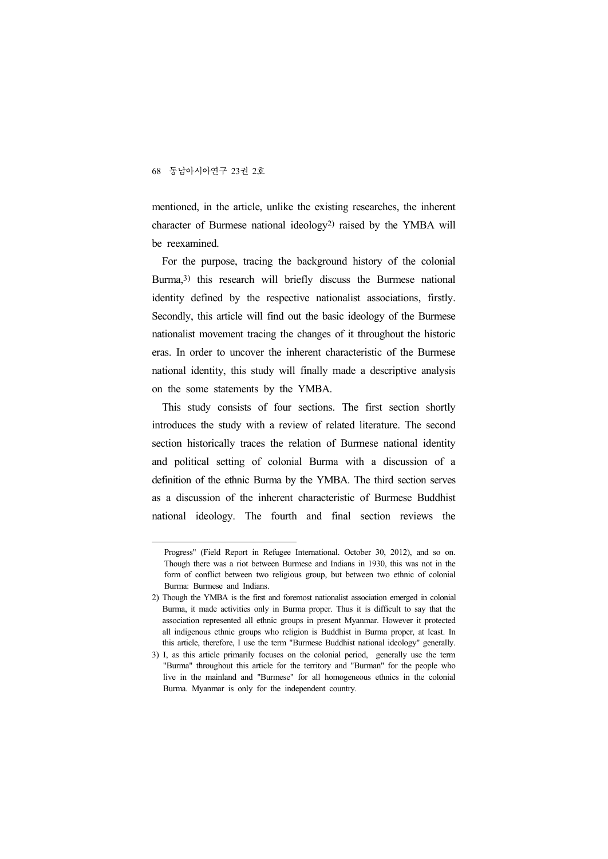mentioned, in the article, unlike the existing researches, the inherent character of Burmese national ideology2) raised by the YMBA will be reexamined.

For the purpose, tracing the background history of the colonial Burma,3) this research will briefly discuss the Burmese national identity defined by the respective nationalist associations, firstly. Secondly, this article will find out the basic ideology of the Burmese nationalist movement tracing the changes of it throughout the historic eras. In order to uncover the inherent characteristic of the Burmese national identity, this study will finally made a descriptive analysis on the some statements by the YMBA.

This study consists of four sections. The first section shortly introduces the study with a review of related literature. The second section historically traces the relation of Burmese national identity and political setting of colonial Burma with a discussion of a definition of the ethnic Burma by the YMBA. The third section serves as a discussion of the inherent characteristic of Burmese Buddhist national ideology. The fourth and final section reviews the

Progress" (Field Report in Refugee International. October 30, 2012), and so on. Though there was a riot between Burmese and Indians in 1930, this was not in the form of conflict between two religious group, but between two ethnic of colonial Burma: Burmese and Indians.

<sup>2)</sup> Though the YMBA is the first and foremost nationalist association emerged in colonial Burma, it made activities only in Burma proper. Thus it is difficult to say that the association represented all ethnic groups in present Myanmar. However it protected all indigenous ethnic groups who religion is Buddhist in Burma proper, at least. In this article, therefore, I use the term "Burmese Buddhist national ideology" generally.

<sup>3)</sup> I, as this article primarily focuses on the colonial period, generally use the term "Burma" throughout this article for the territory and "Burman" for the people who live in the mainland and "Burmese" for all homogeneous ethnics in the colonial Burma. Myanmar is only for the independent country.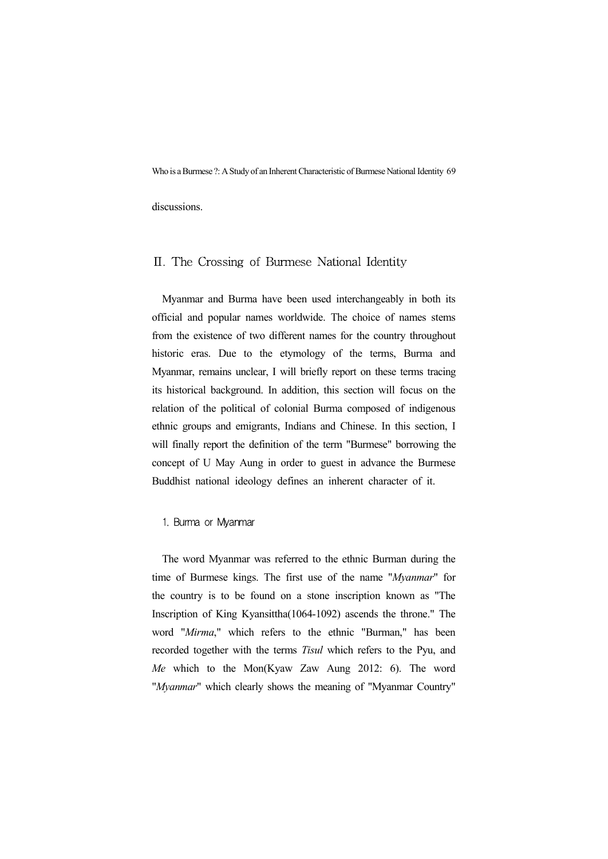discussions.

### Ⅱ. The Crossing of Burmese National Identity

Myanmar and Burma have been used interchangeably in both its official and popular names worldwide. The choice of names stems from the existence of two different names for the country throughout historic eras. Due to the etymology of the terms, Burma and Myanmar, remains unclear, I will briefly report on these terms tracing its historical background. In addition, this section will focus on the relation of the political of colonial Burma composed of indigenous ethnic groups and emigrants, Indians and Chinese. In this section, I will finally report the definition of the term "Burmese" borrowing the concept of U May Aung in order to guest in advance the Burmese Buddhist national ideology defines an inherent character of it.

#### 1. Burma or Myanmar

The word Myanmar was referred to the ethnic Burman during the time of Burmese kings. The first use of the name "*Myanmar*" for the country is to be found on a stone inscription known as "The Inscription of King Kyansittha(1064-1092) ascends the throne." The word "*Mirma*," which refers to the ethnic "Burman," has been recorded together with the terms *Tisul* which refers to the Pyu, and *Me* which to the Mon(Kyaw Zaw Aung 2012: 6). The word "*Myanmar*" which clearly shows the meaning of "Myanmar Country"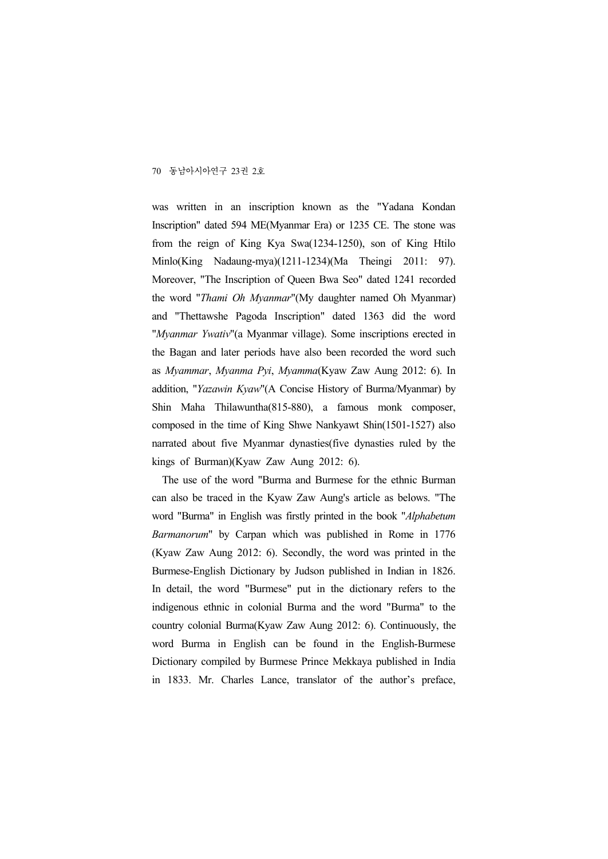was written in an inscription known as the "Yadana Kondan Inscription" dated 594 ME(Myanmar Era) or 1235 CE. The stone was from the reign of King Kya Swa(1234-1250), son of King Htilo Minlo(King Nadaung-mya)(1211-1234)(Ma Theingi 2011: 97). Moreover, "The Inscription of Queen Bwa Seo" dated 1241 recorded the word "*Thami Oh Myanmar*"(My daughter named Oh Myanmar) and "Thettawshe Pagoda Inscription" dated 1363 did the word "*Myanmar Ywativ*"(a Myanmar village). Some inscriptions erected in the Bagan and later periods have also been recorded the word such as *Myammar*, *Myanma Pyi*, *Myamma*(Kyaw Zaw Aung 2012: 6). In addition, "*Yazawin Kyaw*"(A Concise History of Burma/Myanmar) by Shin Maha Thilawuntha(815-880), a famous monk composer, composed in the time of King Shwe Nankyawt Shin(1501-1527) also narrated about five Myanmar dynasties(five dynasties ruled by the kings of Burman)(Kyaw Zaw Aung 2012: 6).

The use of the word "Burma and Burmese for the ethnic Burman can also be traced in the Kyaw Zaw Aung's article as belows. "The word "Burma" in English was firstly printed in the book "*Alphabetum Barmanorum*" by Carpan which was published in Rome in 1776 (Kyaw Zaw Aung 2012: 6). Secondly, the word was printed in the Burmese-English Dictionary by Judson published in Indian in 1826. In detail, the word "Burmese" put in the dictionary refers to the indigenous ethnic in colonial Burma and the word "Burma" to the country colonial Burma(Kyaw Zaw Aung 2012: 6). Continuously, the word Burma in English can be found in the English-Burmese Dictionary compiled by Burmese Prince Mekkaya published in India in 1833. Mr. Charles Lance, translator of the author's preface,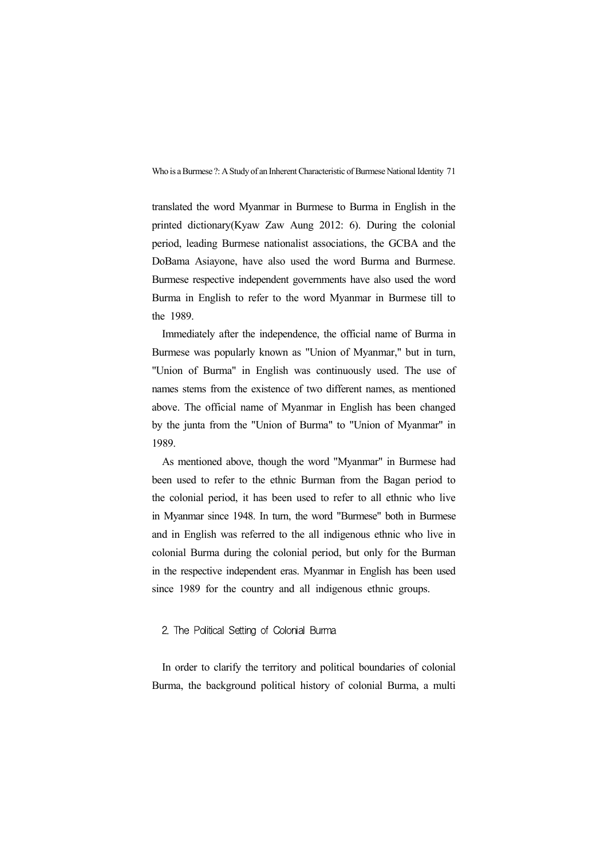translated the word Myanmar in Burmese to Burma in English in the printed dictionary(Kyaw Zaw Aung 2012: 6). During the colonial period, leading Burmese nationalist associations, the GCBA and the DoBama Asiayone, have also used the word Burma and Burmese. Burmese respective independent governments have also used the word Burma in English to refer to the word Myanmar in Burmese till to the 1989.

Immediately after the independence, the official name of Burma in Burmese was popularly known as "Union of Myanmar," but in turn, "Union of Burma" in English was continuously used. The use of names stems from the existence of two different names, as mentioned above. The official name of Myanmar in English has been changed by the junta from the "Union of Burma" to "Union of Myanmar" in 1989.

As mentioned above, though the word "Myanmar" in Burmese had been used to refer to the ethnic Burman from the Bagan period to the colonial period, it has been used to refer to all ethnic who live in Myanmar since 1948. In turn, the word "Burmese" both in Burmese and in English was referred to the all indigenous ethnic who live in colonial Burma during the colonial period, but only for the Burman in the respective independent eras. Myanmar in English has been used since 1989 for the country and all indigenous ethnic groups.

#### 2. The Political Setting of Colonial Burma

In order to clarify the territory and political boundaries of colonial Burma, the background political history of colonial Burma, a multi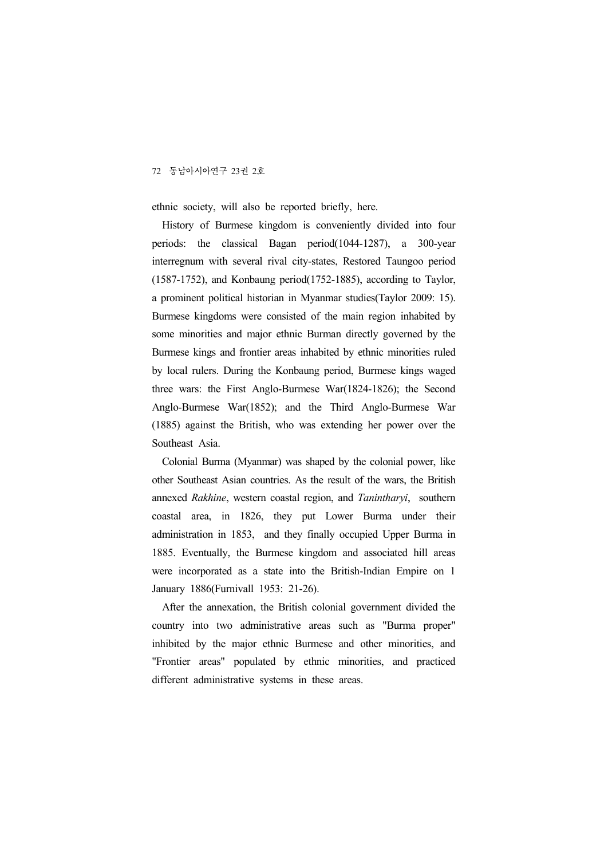ethnic society, will also be reported briefly, here.

History of Burmese kingdom is conveniently divided into four periods: the classical Bagan period(1044-1287), a 300-year interregnum with several rival city-states, Restored Taungoo period (1587-1752), and Konbaung period(1752-1885), according to Taylor, a prominent political historian in Myanmar studies(Taylor 2009: 15). Burmese kingdoms were consisted of the main region inhabited by some minorities and major ethnic Burman directly governed by the Burmese kings and frontier areas inhabited by ethnic minorities ruled by local rulers. During the Konbaung period, Burmese kings waged three wars: the First Anglo-Burmese War(1824-1826); the Second Anglo-Burmese War(1852); and the Third Anglo-Burmese War (1885) against the British, who was extending her power over the Southeast Asia.

Colonial Burma (Myanmar) was shaped by the colonial power, like other Southeast Asian countries. As the result of the wars, the British annexed *Rakhine*, western coastal region, and *Tanintharyi*, southern coastal area, in 1826, they put Lower Burma under their administration in 1853, and they finally occupied Upper Burma in 1885. Eventually, the Burmese kingdom and associated hill areas were incorporated as a state into the British-Indian Empire on 1 January 1886(Furnivall 1953: 21-26).

After the annexation, the British colonial government divided the country into two administrative areas such as "Burma proper" inhibited by the major ethnic Burmese and other minorities, and "Frontier areas" populated by ethnic minorities, and practiced different administrative systems in these areas.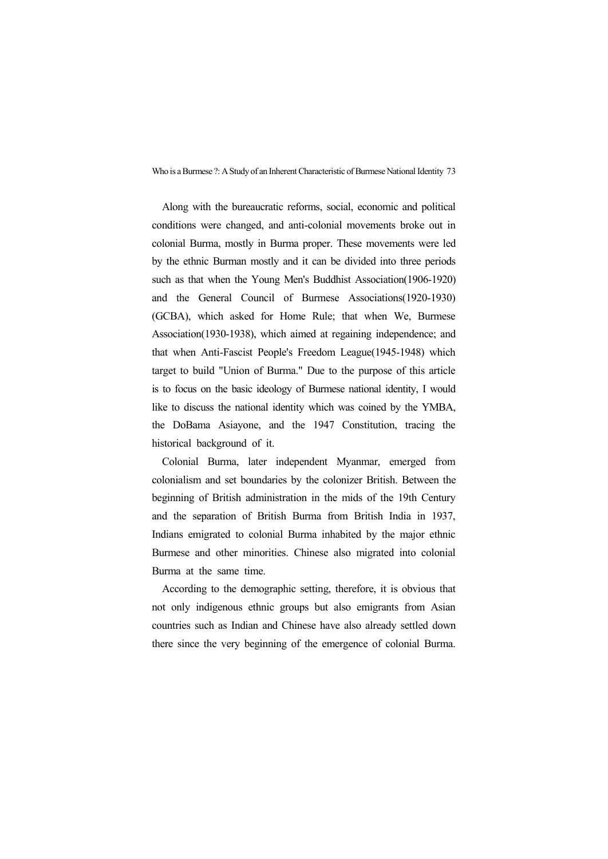Along with the bureaucratic reforms, social, economic and political conditions were changed, and anti-colonial movements broke out in colonial Burma, mostly in Burma proper. These movements were led by the ethnic Burman mostly and it can be divided into three periods such as that when the Young Men's Buddhist Association(1906-1920) and the General Council of Burmese Associations(1920-1930) (GCBA), which asked for Home Rule; that when We, Burmese Association(1930-1938), which aimed at regaining independence; and that when Anti-Fascist People's Freedom League(1945-1948) which target to build "Union of Burma." Due to the purpose of this article is to focus on the basic ideology of Burmese national identity, I would like to discuss the national identity which was coined by the YMBA, the DoBama Asiayone, and the 1947 Constitution, tracing the historical background of it.

Colonial Burma, later independent Myanmar, emerged from colonialism and set boundaries by the colonizer British. Between the beginning of British administration in the mids of the 19th Century and the separation of British Burma from British India in 1937, Indians emigrated to colonial Burma inhabited by the major ethnic Burmese and other minorities. Chinese also migrated into colonial Burma at the same time.

According to the demographic setting, therefore, it is obvious that not only indigenous ethnic groups but also emigrants from Asian countries such as Indian and Chinese have also already settled down there since the very beginning of the emergence of colonial Burma.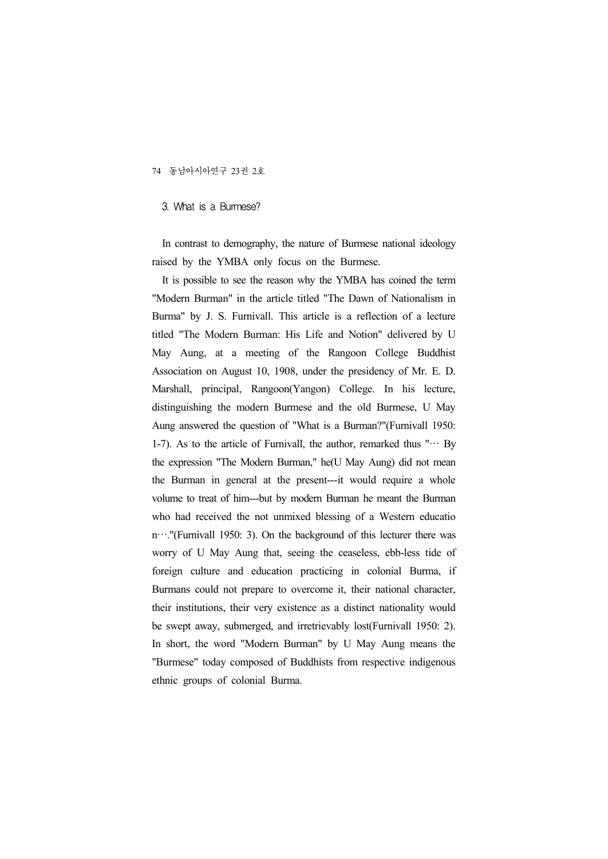#### 3. What is a Burmese?

In contrast to demography, the nature of Burmese national ideology raised by the YMBA only focus on the Burmese.

It is possible to see the reason why the YMBA has coined the term "Modern Burman" in the article titled "The Dawn of Nationalism in Burma" by J. S. Furnivall. This article is a reflection of a lecture titled "The Modern Burman: His Life and Notion" delivered by U May Aung, at a meeting of the Rangoon College Buddhist Association on August 10, 1908, under the presidency of Mr. E. D. Marshall, principal, Rangoon(Yangon) College. In his lecture, distinguishing the modern Burmese and the old Burmese, U May Aung answered the question of "What is a Burman?"(Furnivall 1950: 1-7). As to the article of Furnivall, the author, remarked thus " $\cdots$  By the expression "The Modern Burman," he(U May Aung) did not mean the Burman in general at the present---it would require a whole volume to treat of him---but by modern Burman he meant the Burman who had received the not unmixed blessing of a Western educatio n…."(Furnivall 1950: 3). On the background of this lecturer there was worry of U May Aung that, seeing the ceaseless, ebb-less tide of foreign culture and education practicing in colonial Burma, if Burmans could not prepare to overcome it, their national character, their institutions, their very existence as a distinct nationality would be swept away, submerged, and irretrievably lost(Furnivall 1950: 2). In short, the word "Modern Burman" by U May Aung means the "Burmese" today composed of Buddhists from respective indigenous ethnic groups of colonial Burma.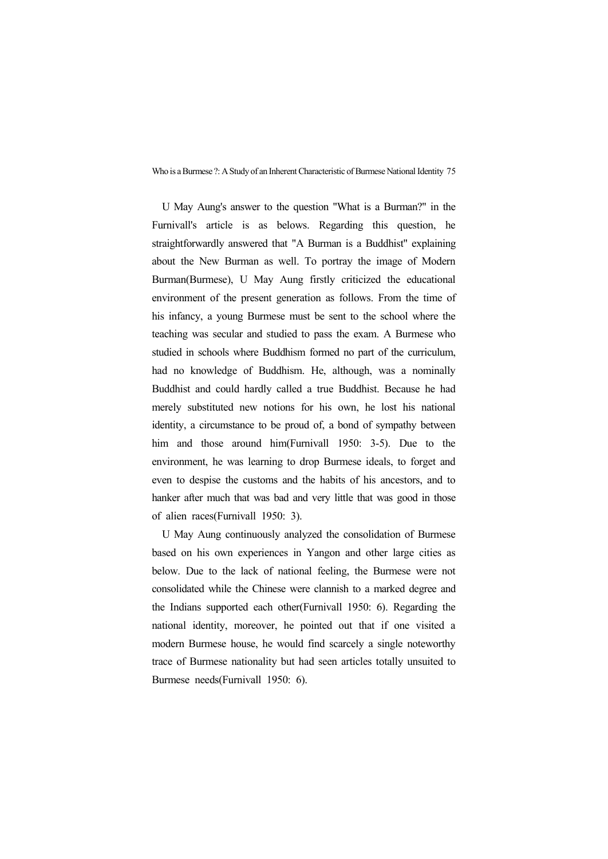U May Aung's answer to the question "What is a Burman?" in the Furnivall's article is as belows. Regarding this question, he straightforwardly answered that "A Burman is a Buddhist" explaining about the New Burman as well. To portray the image of Modern Burman(Burmese), U May Aung firstly criticized the educational environment of the present generation as follows. From the time of his infancy, a young Burmese must be sent to the school where the teaching was secular and studied to pass the exam. A Burmese who studied in schools where Buddhism formed no part of the curriculum, had no knowledge of Buddhism. He, although, was a nominally Buddhist and could hardly called a true Buddhist. Because he had merely substituted new notions for his own, he lost his national identity, a circumstance to be proud of, a bond of sympathy between him and those around him (Furnivall 1950: 3-5). Due to the environment, he was learning to drop Burmese ideals, to forget and even to despise the customs and the habits of his ancestors, and to hanker after much that was bad and very little that was good in those of alien races(Furnivall 1950: 3).

U May Aung continuously analyzed the consolidation of Burmese based on his own experiences in Yangon and other large cities as below. Due to the lack of national feeling, the Burmese were not consolidated while the Chinese were clannish to a marked degree and the Indians supported each other(Furnivall 1950: 6). Regarding the national identity, moreover, he pointed out that if one visited a modern Burmese house, he would find scarcely a single noteworthy trace of Burmese nationality but had seen articles totally unsuited to Burmese needs(Furnivall 1950: 6).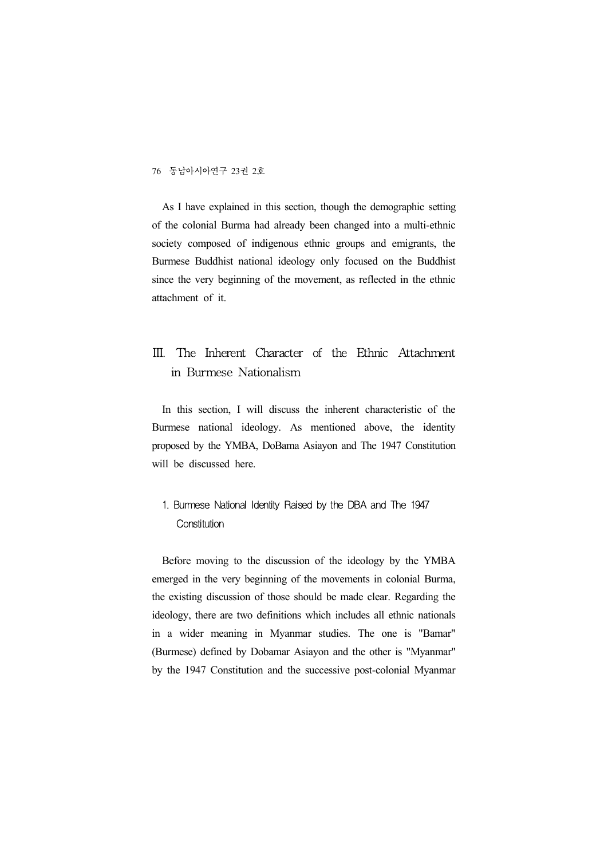As I have explained in this section, though the demographic setting of the colonial Burma had already been changed into a multi-ethnic society composed of indigenous ethnic groups and emigrants, the Burmese Buddhist national ideology only focused on the Buddhist since the very beginning of the movement, as reflected in the ethnic attachment of it.

# Ⅲ. The Inherent Character of the Ethnic Attachment in Burmese Nationalism

In this section, I will discuss the inherent characteristic of the Burmese national ideology. As mentioned above, the identity proposed by the YMBA, DoBama Asiayon and The 1947 Constitution will be discussed here.

# 1. Burmese National Identity Raised by the DBA and The 1947 **Constitution**

Before moving to the discussion of the ideology by the YMBA emerged in the very beginning of the movements in colonial Burma, the existing discussion of those should be made clear. Regarding the ideology, there are two definitions which includes all ethnic nationals in a wider meaning in Myanmar studies. The one is "Bamar" (Burmese) defined by Dobamar Asiayon and the other is "Myanmar" by the 1947 Constitution and the successive post-colonial Myanmar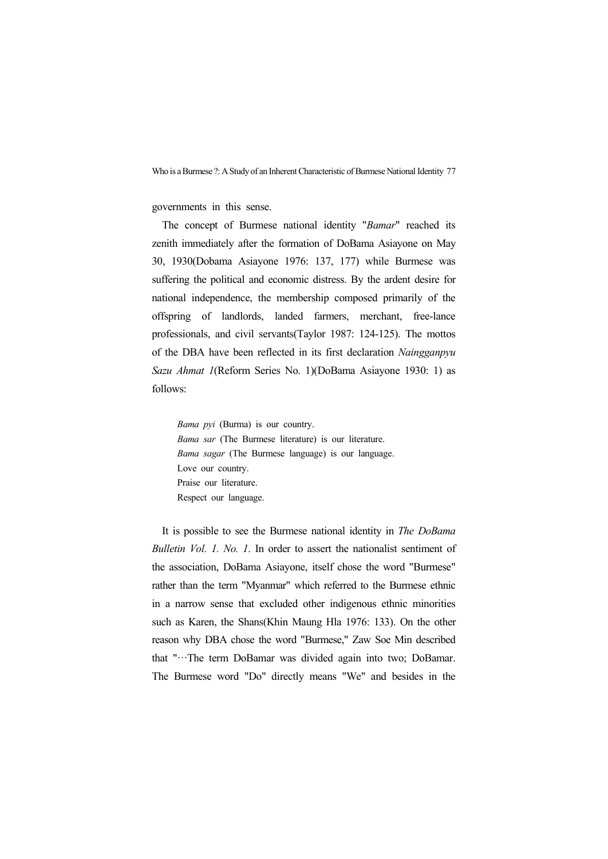governments in this sense.

The concept of Burmese national identity "*Bamar*" reached its zenith immediately after the formation of DoBama Asiayone on May 30, 1930(Dobama Asiayone 1976: 137, 177) while Burmese was suffering the political and economic distress. By the ardent desire for national independence, the membership composed primarily of the offspring of landlords, landed farmers, merchant, free-lance professionals, and civil servants(Taylor 1987: 124-125). The mottos of the DBA have been reflected in its first declaration *Naingganpyu Sazu Ahmat 1*(Reform Series No. 1)(DoBama Asiayone 1930: 1) as follows:

*Bama pyi* (Burma) is our country. *Bama sar* (The Burmese literature) is our literature. *Bama sagar* (The Burmese language) is our language. Love our country. Praise our literature. Respect our language.

It is possible to see the Burmese national identity in *The DoBama Bulletin Vol. 1. No. 1*. In order to assert the nationalist sentiment of the association, DoBama Asiayone, itself chose the word "Burmese" rather than the term "Myanmar" which referred to the Burmese ethnic in a narrow sense that excluded other indigenous ethnic minorities such as Karen, the Shans(Khin Maung Hla 1976: 133). On the other reason why DBA chose the word "Burmese," Zaw Soe Min described that "…The term DoBamar was divided again into two; DoBamar. The Burmese word "Do" directly means "We" and besides in the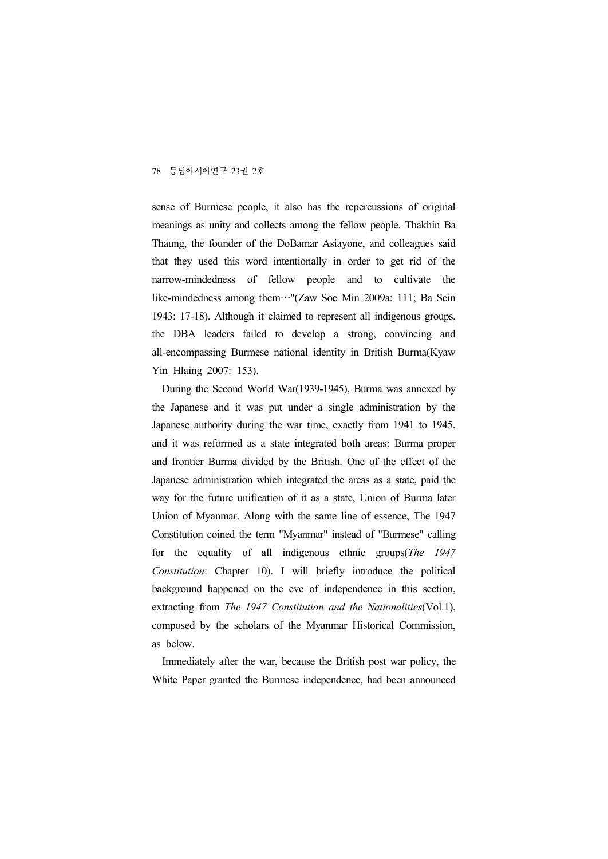sense of Burmese people, it also has the repercussions of original meanings as unity and collects among the fellow people. Thakhin Ba Thaung, the founder of the DoBamar Asiayone, and colleagues said that they used this word intentionally in order to get rid of the narrow-mindedness of fellow people and to cultivate the like-mindedness among them…"(Zaw Soe Min 2009a: 111; Ba Sein 1943: 17-18). Although it claimed to represent all indigenous groups, the DBA leaders failed to develop a strong, convincing and all-encompassing Burmese national identity in British Burma(Kyaw Yin Hlaing 2007: 153).

During the Second World War(1939-1945), Burma was annexed by the Japanese and it was put under a single administration by the Japanese authority during the war time, exactly from 1941 to 1945, and it was reformed as a state integrated both areas: Burma proper and frontier Burma divided by the British. One of the effect of the Japanese administration which integrated the areas as a state, paid the way for the future unification of it as a state, Union of Burma later Union of Myanmar. Along with the same line of essence, The 1947 Constitution coined the term "Myanmar" instead of "Burmese" calling for the equality of all indigenous ethnic groups(*The 1947 Constitution*: Chapter 10). I will briefly introduce the political background happened on the eve of independence in this section, extracting from *The 1947 Constitution and the Nationalities*(Vol.1), composed by the scholars of the Myanmar Historical Commission, as below.

Immediately after the war, because the British post war policy, the White Paper granted the Burmese independence, had been announced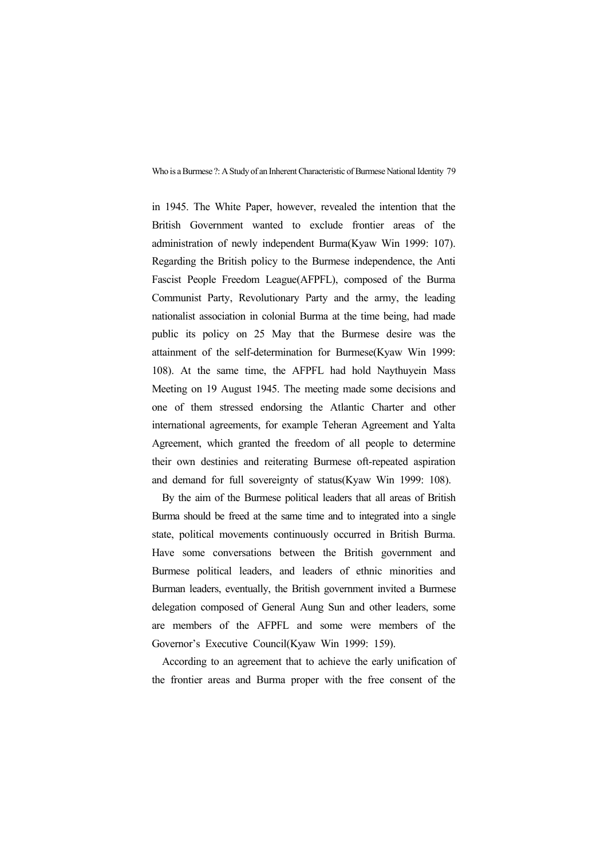in 1945. The White Paper, however, revealed the intention that the British Government wanted to exclude frontier areas of the administration of newly independent Burma(Kyaw Win 1999: 107). Regarding the British policy to the Burmese independence, the Anti Fascist People Freedom League(AFPFL), composed of the Burma Communist Party, Revolutionary Party and the army, the leading nationalist association in colonial Burma at the time being, had made public its policy on 25 May that the Burmese desire was the attainment of the self-determination for Burmese(Kyaw Win 1999: 108). At the same time, the AFPFL had hold Naythuyein Mass Meeting on 19 August 1945. The meeting made some decisions and one of them stressed endorsing the Atlantic Charter and other international agreements, for example Teheran Agreement and Yalta Agreement, which granted the freedom of all people to determine their own destinies and reiterating Burmese oft-repeated aspiration and demand for full sovereignty of status(Kyaw Win 1999: 108).

By the aim of the Burmese political leaders that all areas of British Burma should be freed at the same time and to integrated into a single state, political movements continuously occurred in British Burma. Have some conversations between the British government and Burmese political leaders, and leaders of ethnic minorities and Burman leaders, eventually, the British government invited a Burmese delegation composed of General Aung Sun and other leaders, some are members of the AFPFL and some were members of the Governor's Executive Council(Kyaw Win 1999: 159).

According to an agreement that to achieve the early unification of the frontier areas and Burma proper with the free consent of the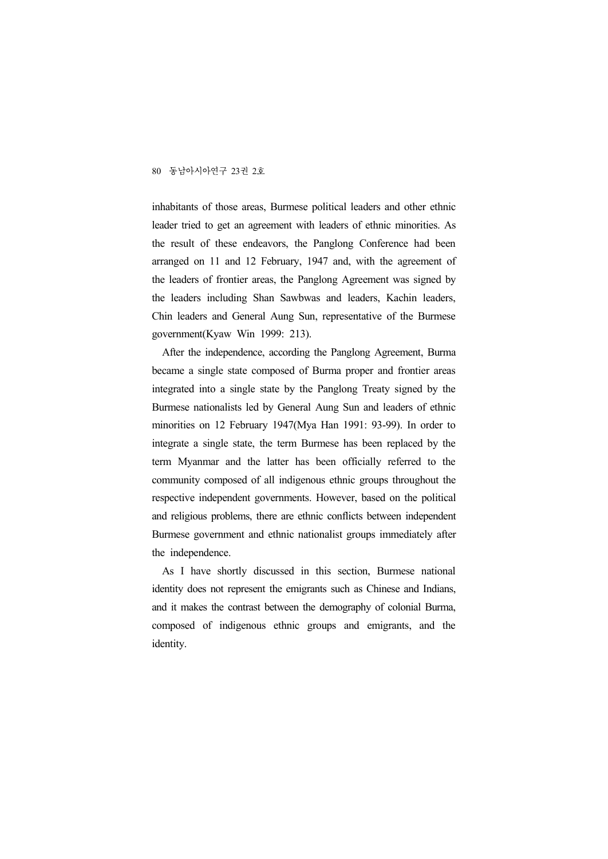inhabitants of those areas, Burmese political leaders and other ethnic leader tried to get an agreement with leaders of ethnic minorities. As the result of these endeavors, the Panglong Conference had been arranged on 11 and 12 February, 1947 and, with the agreement of the leaders of frontier areas, the Panglong Agreement was signed by the leaders including Shan Sawbwas and leaders, Kachin leaders, Chin leaders and General Aung Sun, representative of the Burmese government(Kyaw Win 1999: 213).

After the independence, according the Panglong Agreement, Burma became a single state composed of Burma proper and frontier areas integrated into a single state by the Panglong Treaty signed by the Burmese nationalists led by General Aung Sun and leaders of ethnic minorities on 12 February 1947(Mya Han 1991: 93-99). In order to integrate a single state, the term Burmese has been replaced by the term Myanmar and the latter has been officially referred to the community composed of all indigenous ethnic groups throughout the respective independent governments. However, based on the political and religious problems, there are ethnic conflicts between independent Burmese government and ethnic nationalist groups immediately after the independence.

As I have shortly discussed in this section, Burmese national identity does not represent the emigrants such as Chinese and Indians, and it makes the contrast between the demography of colonial Burma, composed of indigenous ethnic groups and emigrants, and the identity.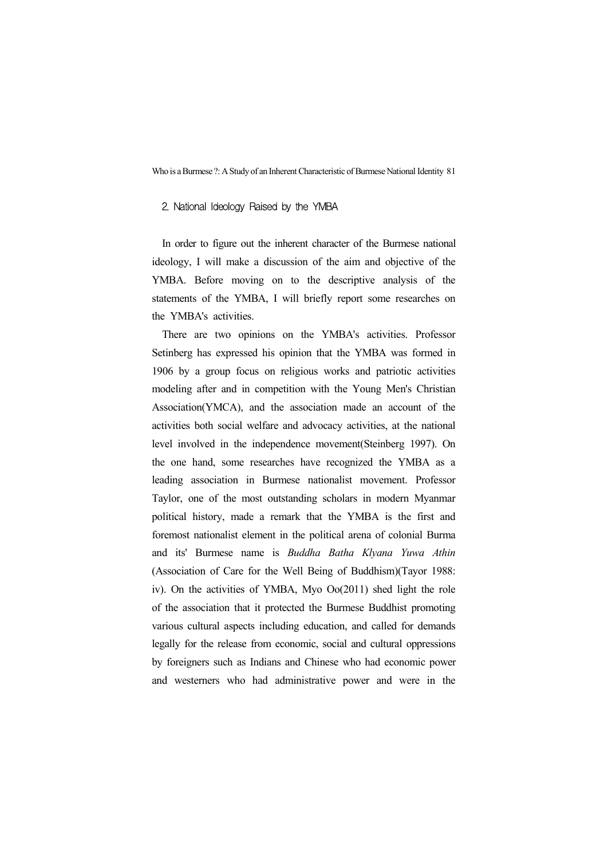#### 2. National Ideology Raised by the YMBA

In order to figure out the inherent character of the Burmese national ideology, I will make a discussion of the aim and objective of the YMBA. Before moving on to the descriptive analysis of the statements of the YMBA, I will briefly report some researches on the YMBA's activities.

There are two opinions on the YMBA's activities. Professor Setinberg has expressed his opinion that the YMBA was formed in 1906 by a group focus on religious works and patriotic activities modeling after and in competition with the Young Men's Christian Association(YMCA), and the association made an account of the activities both social welfare and advocacy activities, at the national level involved in the independence movement(Steinberg 1997). On the one hand, some researches have recognized the YMBA as a leading association in Burmese nationalist movement. Professor Taylor, one of the most outstanding scholars in modern Myanmar political history, made a remark that the YMBA is the first and foremost nationalist element in the political arena of colonial Burma and its' Burmese name is *Buddha Batha Klyana Yuwa Athin* (Association of Care for the Well Being of Buddhism)(Tayor 1988: iv). On the activities of YMBA, Myo Oo(2011) shed light the role of the association that it protected the Burmese Buddhist promoting various cultural aspects including education, and called for demands legally for the release from economic, social and cultural oppressions by foreigners such as Indians and Chinese who had economic power and westerners who had administrative power and were in the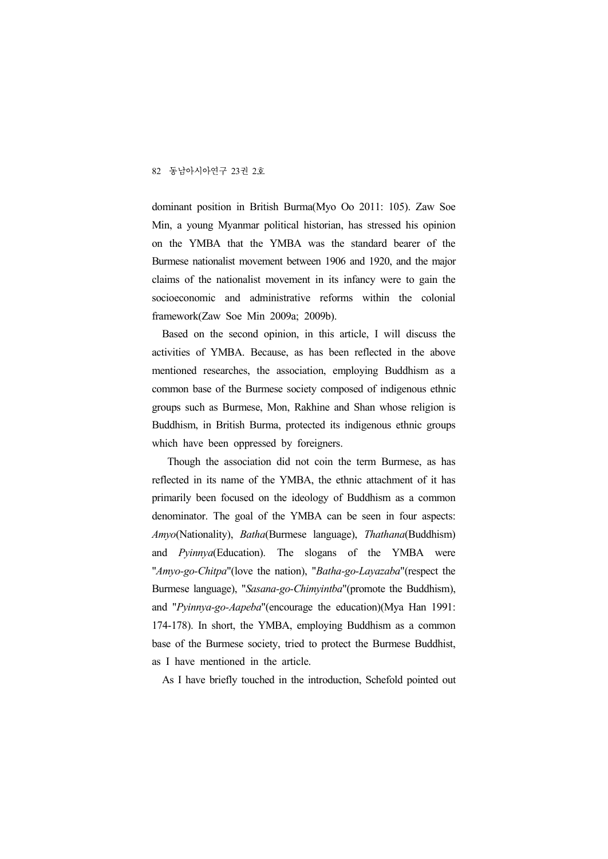dominant position in British Burma(Myo Oo 2011: 105). Zaw Soe Min, a young Myanmar political historian, has stressed his opinion on the YMBA that the YMBA was the standard bearer of the Burmese nationalist movement between 1906 and 1920, and the major claims of the nationalist movement in its infancy were to gain the socioeconomic and administrative reforms within the colonial framework(Zaw Soe Min 2009a; 2009b).

Based on the second opinion, in this article, I will discuss the activities of YMBA. Because, as has been reflected in the above mentioned researches, the association, employing Buddhism as a common base of the Burmese society composed of indigenous ethnic groups such as Burmese, Mon, Rakhine and Shan whose religion is Buddhism, in British Burma, protected its indigenous ethnic groups which have been oppressed by foreigners.

Though the association did not coin the term Burmese, as has reflected in its name of the YMBA, the ethnic attachment of it has primarily been focused on the ideology of Buddhism as a common denominator. The goal of the YMBA can be seen in four aspects: *Amyo*(Nationality), *Batha*(Burmese language), *Thathana*(Buddhism) and *Pyinnya*(Education). The slogans of the YMBA were "*Amyo-go-Chitpa*"(love the nation), "*Batha-go-Layazaba*"(respect the Burmese language), "*Sasana-go-Chimyintba*"(promote the Buddhism), and "*Pyinnya-go-Aapeba*"(encourage the education)(Mya Han 1991: 174-178). In short, the YMBA, employing Buddhism as a common base of the Burmese society, tried to protect the Burmese Buddhist, as I have mentioned in the article.

As I have briefly touched in the introduction, Schefold pointed out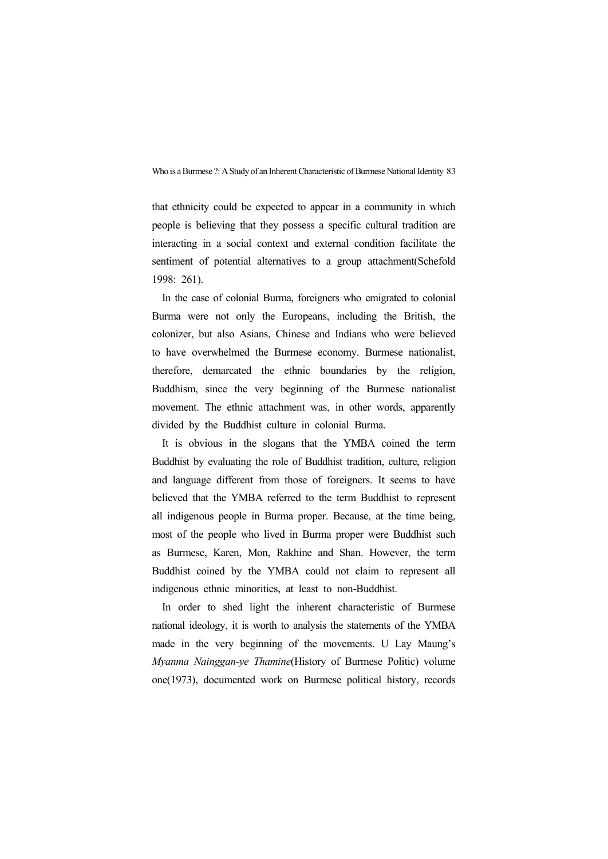that ethnicity could be expected to appear in a community in which people is believing that they possess a specific cultural tradition are interacting in a social context and external condition facilitate the sentiment of potential alternatives to a group attachment(Schefold 1998: 261).

In the case of colonial Burma, foreigners who emigrated to colonial Burma were not only the Europeans, including the British, the colonizer, but also Asians, Chinese and Indians who were believed to have overwhelmed the Burmese economy. Burmese nationalist, therefore, demarcated the ethnic boundaries by the religion, Buddhism, since the very beginning of the Burmese nationalist movement. The ethnic attachment was, in other words, apparently divided by the Buddhist culture in colonial Burma.

It is obvious in the slogans that the YMBA coined the term Buddhist by evaluating the role of Buddhist tradition, culture, religion and language different from those of foreigners. It seems to have believed that the YMBA referred to the term Buddhist to represent all indigenous people in Burma proper. Because, at the time being, most of the people who lived in Burma proper were Buddhist such as Burmese, Karen, Mon, Rakhine and Shan. However, the term Buddhist coined by the YMBA could not claim to represent all indigenous ethnic minorities, at least to non-Buddhist.

In order to shed light the inherent characteristic of Burmese national ideology, it is worth to analysis the statements of the YMBA made in the very beginning of the movements. U Lay Maung's *Myanma Nainggan-ye Thamine*(History of Burmese Politic) volume one(1973), documented work on Burmese political history, records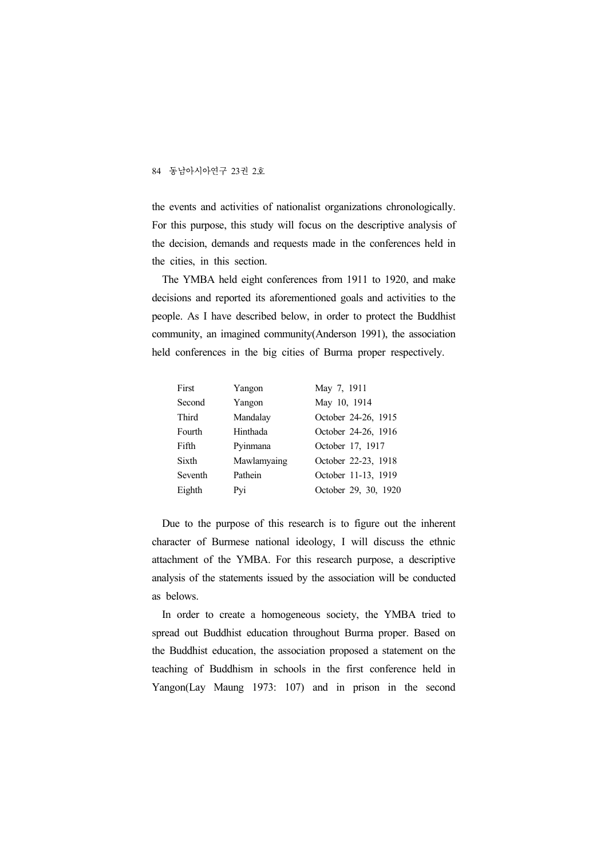the events and activities of nationalist organizations chronologically. For this purpose, this study will focus on the descriptive analysis of the decision, demands and requests made in the conferences held in the cities, in this section.

The YMBA held eight conferences from 1911 to 1920, and make decisions and reported its aforementioned goals and activities to the people. As I have described below, in order to protect the Buddhist community, an imagined community(Anderson 1991), the association held conferences in the big cities of Burma proper respectively.

| First   | Yangon      | May 7, 1911          |
|---------|-------------|----------------------|
| Second  | Yangon      | May 10, 1914         |
| Third   | Mandalay    | October 24-26, 1915  |
| Fourth  | Hinthada    | October 24-26, 1916  |
| Fifth   | Pyinmana    | October 17, 1917     |
| Sixth   | Mawlamyaing | October 22-23, 1918  |
| Seventh | Pathein     | October 11-13, 1919  |
| Eighth  | Pyi         | October 29, 30, 1920 |

Due to the purpose of this research is to figure out the inherent character of Burmese national ideology, I will discuss the ethnic attachment of the YMBA. For this research purpose, a descriptive analysis of the statements issued by the association will be conducted as belows.

In order to create a homogeneous society, the YMBA tried to spread out Buddhist education throughout Burma proper. Based on the Buddhist education, the association proposed a statement on the teaching of Buddhism in schools in the first conference held in Yangon(Lay Maung 1973: 107) and in prison in the second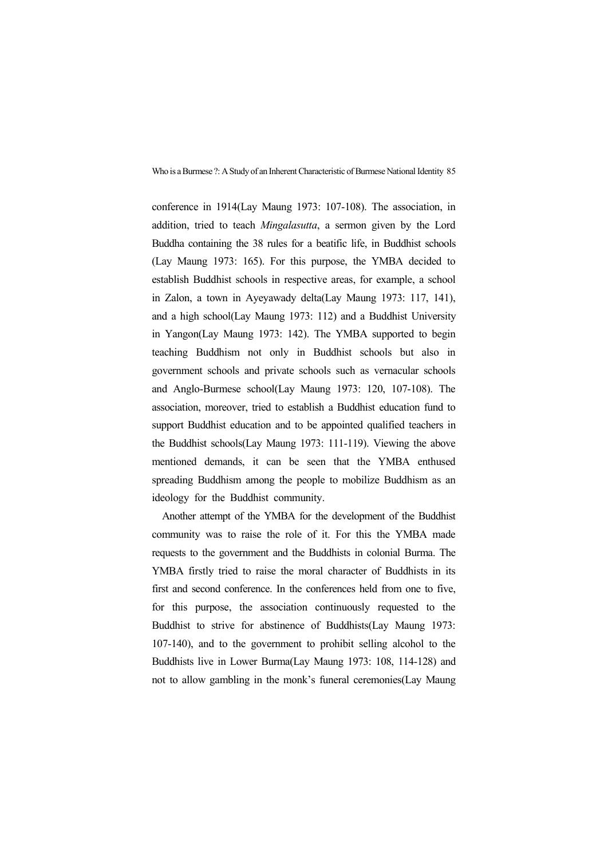conference in 1914(Lay Maung 1973: 107-108). The association, in addition, tried to teach *Mingalasutta*, a sermon given by the Lord Buddha containing the 38 rules for a beatific life, in Buddhist schools (Lay Maung 1973: 165). For this purpose, the YMBA decided to establish Buddhist schools in respective areas, for example, a school in Zalon, a town in Ayeyawady delta(Lay Maung 1973: 117, 141), and a high school(Lay Maung 1973: 112) and a Buddhist University in Yangon(Lay Maung 1973: 142). The YMBA supported to begin teaching Buddhism not only in Buddhist schools but also in government schools and private schools such as vernacular schools and Anglo-Burmese school(Lay Maung 1973: 120, 107-108). The association, moreover, tried to establish a Buddhist education fund to support Buddhist education and to be appointed qualified teachers in the Buddhist schools(Lay Maung 1973: 111-119). Viewing the above mentioned demands, it can be seen that the YMBA enthused spreading Buddhism among the people to mobilize Buddhism as an ideology for the Buddhist community.

Another attempt of the YMBA for the development of the Buddhist community was to raise the role of it. For this the YMBA made requests to the government and the Buddhists in colonial Burma. The YMBA firstly tried to raise the moral character of Buddhists in its first and second conference. In the conferences held from one to five, for this purpose, the association continuously requested to the Buddhist to strive for abstinence of Buddhists(Lay Maung 1973: 107-140), and to the government to prohibit selling alcohol to the Buddhists live in Lower Burma(Lay Maung 1973: 108, 114-128) and not to allow gambling in the monk's funeral ceremonies(Lay Maung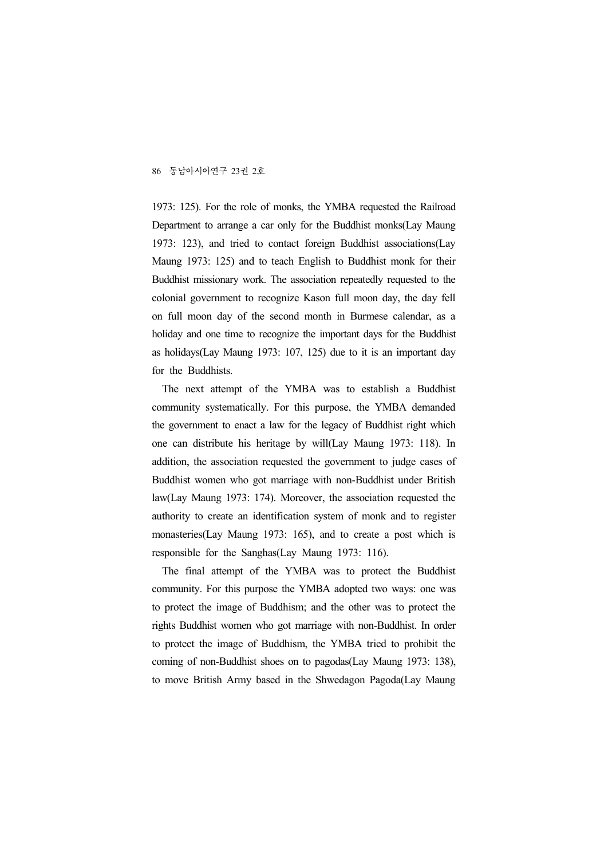1973: 125). For the role of monks, the YMBA requested the Railroad Department to arrange a car only for the Buddhist monks(Lay Maung 1973: 123), and tried to contact foreign Buddhist associations(Lay Maung 1973: 125) and to teach English to Buddhist monk for their Buddhist missionary work. The association repeatedly requested to the colonial government to recognize Kason full moon day, the day fell on full moon day of the second month in Burmese calendar, as a holiday and one time to recognize the important days for the Buddhist as holidays(Lay Maung 1973: 107, 125) due to it is an important day for the Buddhists.

The next attempt of the YMBA was to establish a Buddhist community systematically. For this purpose, the YMBA demanded the government to enact a law for the legacy of Buddhist right which one can distribute his heritage by will(Lay Maung 1973: 118). In addition, the association requested the government to judge cases of Buddhist women who got marriage with non-Buddhist under British law(Lay Maung 1973: 174). Moreover, the association requested the authority to create an identification system of monk and to register monasteries(Lay Maung 1973: 165), and to create a post which is responsible for the Sanghas(Lay Maung 1973: 116).

The final attempt of the YMBA was to protect the Buddhist community. For this purpose the YMBA adopted two ways: one was to protect the image of Buddhism; and the other was to protect the rights Buddhist women who got marriage with non-Buddhist. In order to protect the image of Buddhism, the YMBA tried to prohibit the coming of non-Buddhist shoes on to pagodas(Lay Maung 1973: 138), to move British Army based in the Shwedagon Pagoda(Lay Maung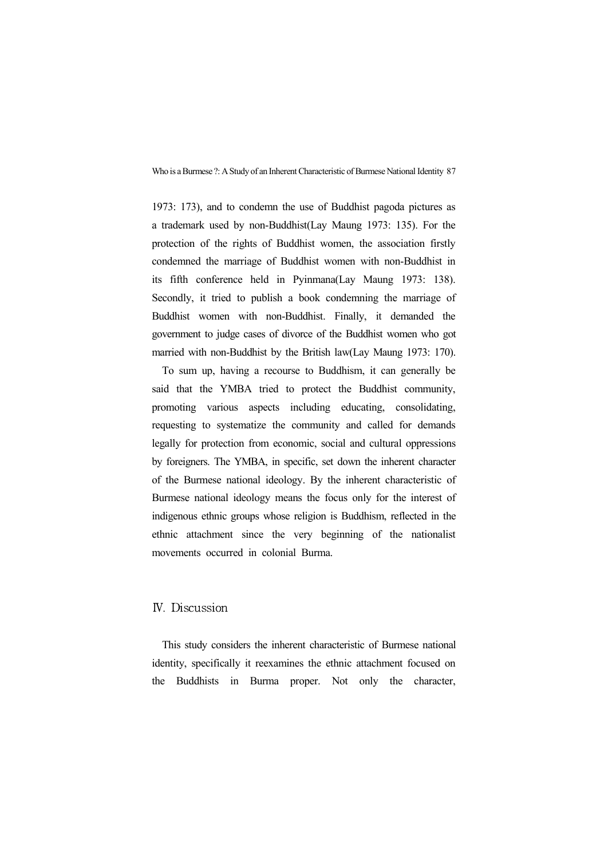1973: 173), and to condemn the use of Buddhist pagoda pictures as a trademark used by non-Buddhist(Lay Maung 1973: 135). For the protection of the rights of Buddhist women, the association firstly condemned the marriage of Buddhist women with non-Buddhist in its fifth conference held in Pyinmana(Lay Maung 1973: 138). Secondly, it tried to publish a book condemning the marriage of Buddhist women with non-Buddhist. Finally, it demanded the government to judge cases of divorce of the Buddhist women who got married with non-Buddhist by the British law(Lay Maung 1973: 170).

To sum up, having a recourse to Buddhism, it can generally be said that the YMBA tried to protect the Buddhist community, promoting various aspects including educating, consolidating, requesting to systematize the community and called for demands legally for protection from economic, social and cultural oppressions by foreigners. The YMBA, in specific, set down the inherent character of the Burmese national ideology. By the inherent characteristic of Burmese national ideology means the focus only for the interest of indigenous ethnic groups whose religion is Buddhism, reflected in the ethnic attachment since the very beginning of the nationalist movements occurred in colonial Burma.

#### Ⅳ. Discussion

This study considers the inherent characteristic of Burmese national identity, specifically it reexamines the ethnic attachment focused on the Buddhists in Burma proper. Not only the character,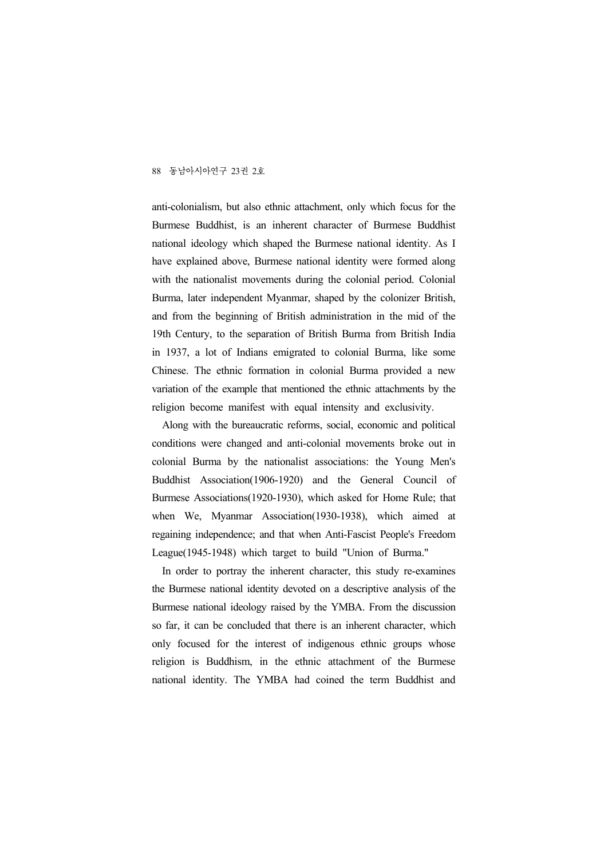anti-colonialism, but also ethnic attachment, only which focus for the Burmese Buddhist, is an inherent character of Burmese Buddhist national ideology which shaped the Burmese national identity. As I have explained above, Burmese national identity were formed along with the nationalist movements during the colonial period. Colonial Burma, later independent Myanmar, shaped by the colonizer British, and from the beginning of British administration in the mid of the 19th Century, to the separation of British Burma from British India in 1937, a lot of Indians emigrated to colonial Burma, like some Chinese. The ethnic formation in colonial Burma provided a new variation of the example that mentioned the ethnic attachments by the religion become manifest with equal intensity and exclusivity.

Along with the bureaucratic reforms, social, economic and political conditions were changed and anti-colonial movements broke out in colonial Burma by the nationalist associations: the Young Men's Buddhist Association(1906-1920) and the General Council of Burmese Associations(1920-1930), which asked for Home Rule; that when We, Myanmar Association(1930-1938), which aimed at regaining independence; and that when Anti-Fascist People's Freedom League(1945-1948) which target to build "Union of Burma."

In order to portray the inherent character, this study re-examines the Burmese national identity devoted on a descriptive analysis of the Burmese national ideology raised by the YMBA. From the discussion so far, it can be concluded that there is an inherent character, which only focused for the interest of indigenous ethnic groups whose religion is Buddhism, in the ethnic attachment of the Burmese national identity. The YMBA had coined the term Buddhist and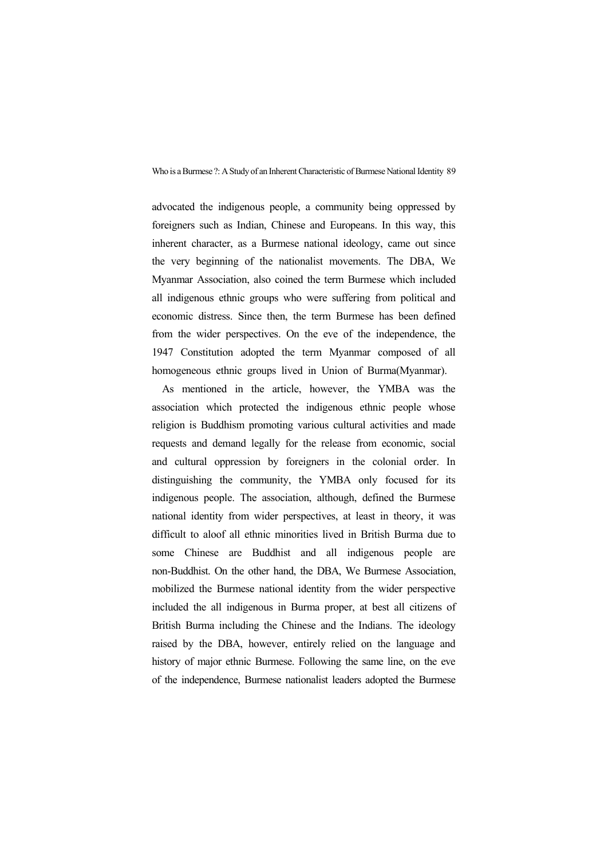advocated the indigenous people, a community being oppressed by foreigners such as Indian, Chinese and Europeans. In this way, this inherent character, as a Burmese national ideology, came out since the very beginning of the nationalist movements. The DBA, We Myanmar Association, also coined the term Burmese which included all indigenous ethnic groups who were suffering from political and economic distress. Since then, the term Burmese has been defined from the wider perspectives. On the eve of the independence, the 1947 Constitution adopted the term Myanmar composed of all homogeneous ethnic groups lived in Union of Burma(Myanmar).

As mentioned in the article, however, the YMBA was the association which protected the indigenous ethnic people whose religion is Buddhism promoting various cultural activities and made requests and demand legally for the release from economic, social and cultural oppression by foreigners in the colonial order. In distinguishing the community, the YMBA only focused for its indigenous people. The association, although, defined the Burmese national identity from wider perspectives, at least in theory, it was difficult to aloof all ethnic minorities lived in British Burma due to some Chinese are Buddhist and all indigenous people are non-Buddhist. On the other hand, the DBA, We Burmese Association, mobilized the Burmese national identity from the wider perspective included the all indigenous in Burma proper, at best all citizens of British Burma including the Chinese and the Indians. The ideology raised by the DBA, however, entirely relied on the language and history of major ethnic Burmese. Following the same line, on the eve of the independence, Burmese nationalist leaders adopted the Burmese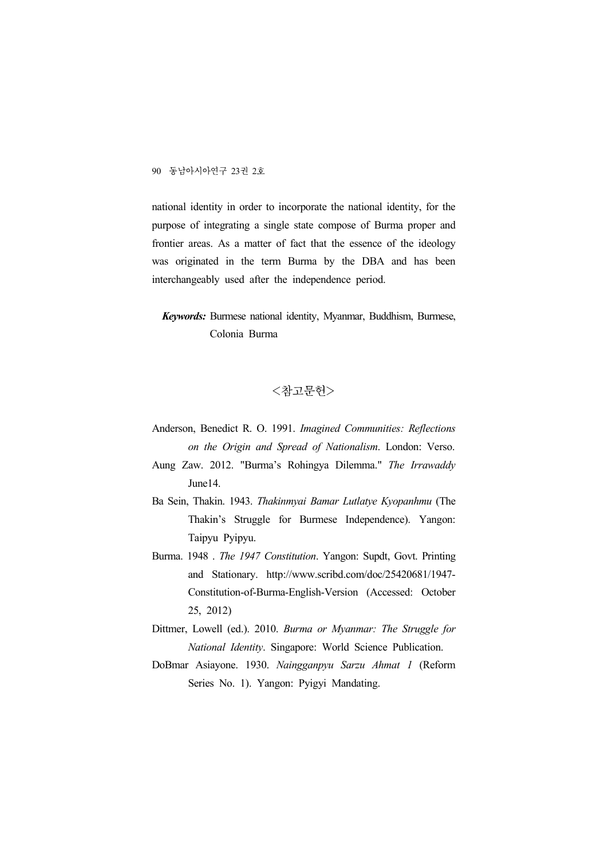national identity in order to incorporate the national identity, for the purpose of integrating a single state compose of Burma proper and frontier areas. As a matter of fact that the essence of the ideology was originated in the term Burma by the DBA and has been interchangeably used after the independence period.

*Keywords:* Burmese national identity, Myanmar, Buddhism, Burmese, Colonia Burma

## <참고문헌>

- Anderson, Benedict R. O. 1991. *Imagined Communities: Reflections on the Origin and Spread of Nationalism*. London: Verso.
- Aung Zaw. 2012. "Burma's Rohingya Dilemma." *The Irrawaddy* June14.
- Ba Sein, Thakin. 1943. *Thakinmyai Bamar Lutlatye Kyopanhmu* (The Thakin's Struggle for Burmese Independence). Yangon: Taipyu Pyipyu.
- Burma. 1948 . *The 1947 Constitution*. Yangon: Supdt, Govt. Printing and Stationary. http://www.scribd.com/doc/25420681/1947- Constitution-of-Burma-English-Version (Accessed: October 25, 2012)
- Dittmer, Lowell (ed.). 2010. *Burma or Myanmar: The Struggle for National Identity*. Singapore: World Science Publication.
- DoBmar Asiayone. 1930. *Naingganpyu Sarzu Ahmat 1* (Reform Series No. 1). Yangon: Pyigyi Mandating.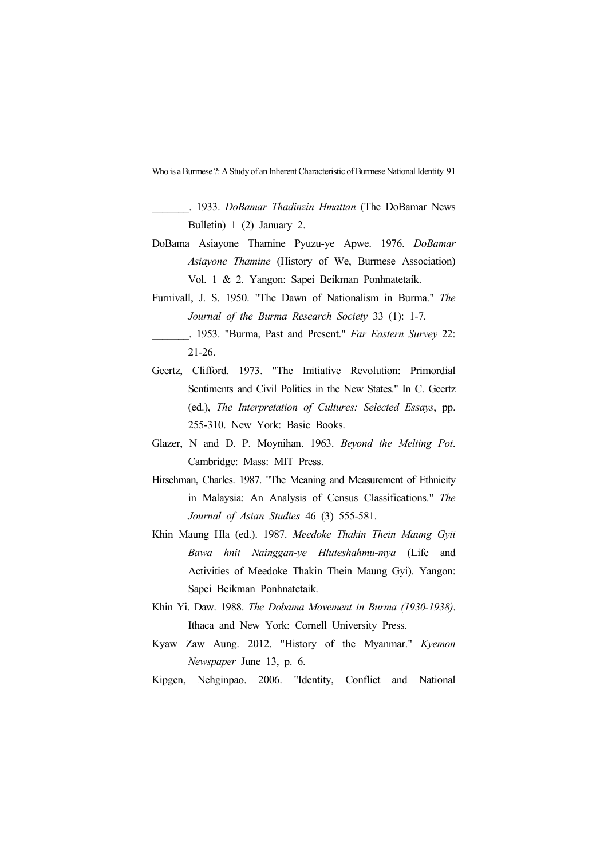\_\_\_\_\_\_\_. 1933. *DoBamar Thadinzin Hmattan* (The DoBamar News Bulletin) 1 (2) January 2.

- DoBama Asiayone Thamine Pyuzu-ye Apwe. 1976. *DoBamar Asiayone Thamine* (History of We, Burmese Association) Vol. 1 & 2. Yangon: Sapei Beikman Ponhnatetaik.
- Furnivall, J. S. 1950. "The Dawn of Nationalism in Burma." *The Journal of the Burma Research Society* 33 (1): 1-7.

- Geertz, Clifford. 1973. "The Initiative Revolution: Primordial Sentiments and Civil Politics in the New States." In C. Geertz (ed.), *The Interpretation of Cultures: Selected Essays*, pp. 255-310. New York: Basic Books.
- Glazer, N and D. P. Moynihan. 1963. *Beyond the Melting Pot*. Cambridge: Mass: MIT Press.
- Hirschman, Charles. 1987. "The Meaning and Measurement of Ethnicity in Malaysia: An Analysis of Census Classifications." *The Journal of Asian Studies* 46 (3) 555-581.
- Khin Maung Hla (ed.). 1987. *Meedoke Thakin Thein Maung Gyii Bawa hnit Nainggan-ye Hluteshahmu-mya* (Life and Activities of Meedoke Thakin Thein Maung Gyi). Yangon: Sapei Beikman Ponhnatetaik.
- Khin Yi. Daw. 1988. *The Dobama Movement in Burma (1930-1938)*. Ithaca and New York: Cornell University Press.
- Kyaw Zaw Aung. 2012. "History of the Myanmar." *Kyemon Newspaper* June 13, p. 6.

Kipgen, Nehginpao. 2006. "Identity, Conflict and National

\_\_\_\_\_\_\_. 1953. "Burma, Past and Present." *Far Eastern Survey* 22: 21-26.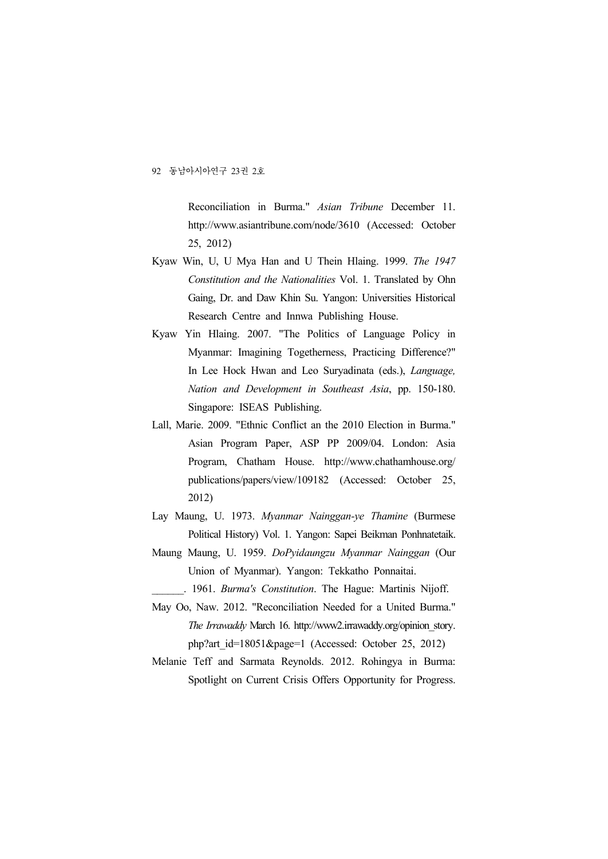Reconciliation in Burma." *Asian Tribune* December 11. http://www.asiantribune.com/node/3610 (Accessed: October 25, 2012)

- Kyaw Win, U, U Mya Han and U Thein Hlaing. 1999. *The 1947 Constitution and the Nationalities* Vol. 1. Translated by Ohn Gaing, Dr. and Daw Khin Su. Yangon: Universities Historical Research Centre and Innwa Publishing House.
- Kyaw Yin Hlaing. 2007. "The Politics of Language Policy in Myanmar: Imagining Togetherness, Practicing Difference?" In Lee Hock Hwan and Leo Suryadinata (eds.), *Language, Nation and Development in Southeast Asia*, pp. 150-180. Singapore: ISEAS Publishing.
- Lall, Marie. 2009. "Ethnic Conflict an the 2010 Election in Burma." Asian Program Paper, ASP PP 2009/04. London: Asia Program, Chatham House. http://www.chathamhouse.org/ publications/papers/view/109182 (Accessed: October 25, 2012)
- Lay Maung, U. 1973. *Myanmar Nainggan-ye Thamine* (Burmese Political History) Vol. 1. Yangon: Sapei Beikman Ponhnatetaik.
- Maung Maung, U. 1959. *DoPyidaungzu Myanmar Nainggan* (Our Union of Myanmar). Yangon: Tekkatho Ponnaitai.
	- \_\_\_\_\_\_. 1961. *Burma's Constitution*. The Hague: Martinis Nijoff.
- May Oo, Naw. 2012. "Reconciliation Needed for a United Burma." *The Irrawaddy* March 16. http://www2.irrawaddy.org/opinion\_story. php?art\_id=18051&page=1 (Accessed: October 25, 2012)
- Melanie Teff and Sarmata Reynolds. 2012. Rohingya in Burma: Spotlight on Current Crisis Offers Opportunity for Progress.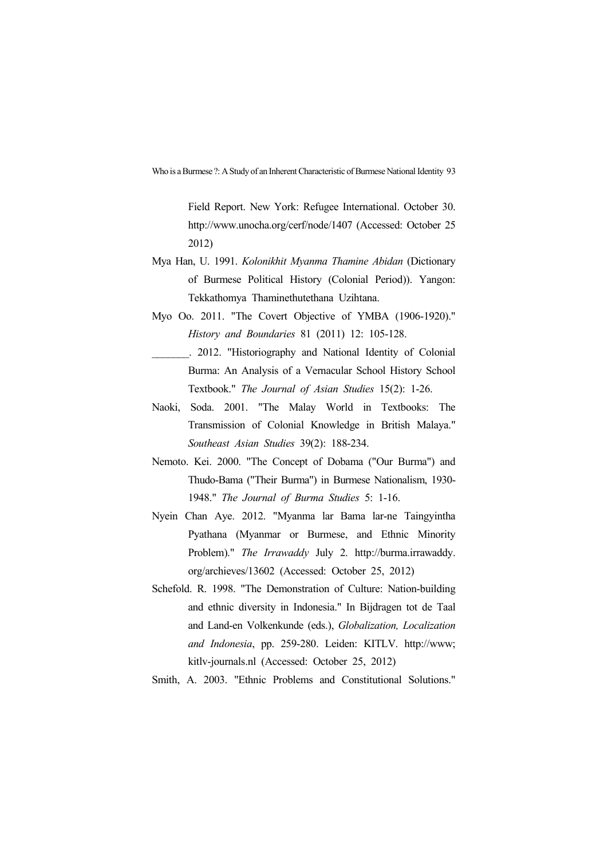Field Report. New York: Refugee International. October 30. http://www.unocha.org/cerf/node/1407 (Accessed: October 25 2012)

- Mya Han, U. 1991. *Kolonikhit Myanma Thamine Abidan* (Dictionary of Burmese Political History (Colonial Period)). Yangon: Tekkathomya Thaminethutethana Uzihtana.
- Myo Oo. 2011. "The Covert Objective of YMBA (1906-1920)." *History and Boundaries* 81 (2011) 12: 105-128.
	- \_\_\_\_\_\_\_. 2012. "Historiography and National Identity of Colonial Burma: An Analysis of a Vernacular School History School Textbook." *The Journal of Asian Studies* 15(2): 1-26.
- Naoki, Soda. 2001. "The Malay World in Textbooks: The Transmission of Colonial Knowledge in British Malaya." *Southeast Asian Studies* 39(2): 188-234.
- Nemoto. Kei. 2000. "The Concept of Dobama ("Our Burma") and Thudo-Bama ("Their Burma") in Burmese Nationalism, 1930- 1948." *The Journal of Burma Studies* 5: 1-16.
- Nyein Chan Aye. 2012. "Myanma lar Bama lar-ne Taingyintha Pyathana (Myanmar or Burmese, and Ethnic Minority Problem)." *The Irrawaddy* July 2. http://burma.irrawaddy. org/archieves/13602 (Accessed: October 25, 2012)
- Schefold. R. 1998. "The Demonstration of Culture: Nation-building and ethnic diversity in Indonesia." In Bijdragen tot de Taal and Land-en Volkenkunde (eds.), *Globalization, Localization and Indonesia*, pp. 259-280. Leiden: KITLV. http://www; kitlv-journals.nl (Accessed: October 25, 2012)
- Smith, A. 2003. "Ethnic Problems and Constitutional Solutions."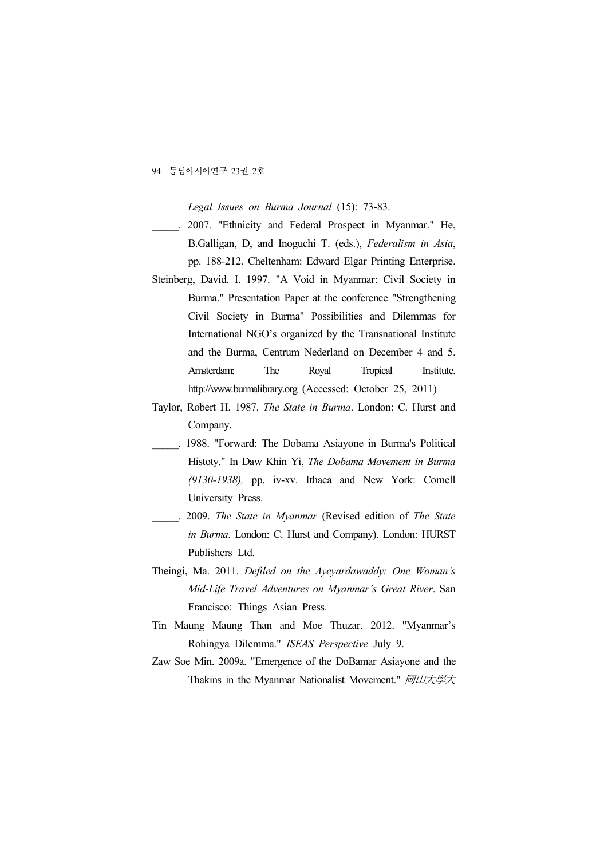*Legal Issues on Burma Journal* (15): 73-83.

- 2007. "Ethnicity and Federal Prospect in Myanmar." He, B.Galligan, D, and Inoguchi T. (eds.), *Federalism in Asia*, pp. 188-212. Cheltenham: Edward Elgar Printing Enterprise.
- Steinberg, David. I. 1997. "A Void in Myanmar: Civil Society in Burma." Presentation Paper at the conference "Strengthening Civil Society in Burma" Possibilities and Dilemmas for International NGO's organized by the Transnational Institute and the Burma, Centrum Nederland on December 4 and 5. Amsterdam: The Royal Tropical Institute. http://www.burmalibrary.org (Accessed: October 25, 2011)
- Taylor, Robert H. 1987. *The State in Burma*. London: C. Hurst and Company.
- 1988. "Forward: The Dobama Asiayone in Burma's Political Histoty." In Daw Khin Yi, *The Dobama Movement in Burma (9130-1938),* pp. iv-xv. Ithaca and New York: Cornell University Press.
- \_\_\_\_\_. 2009. *The State in Myanmar* (Revised edition of *The State in Burma*. London: C. Hurst and Company). London: HURST Publishers Ltd.
- Theingi, Ma. 2011. *Defiled on the Ayeyardawaddy: One Woman's Mid-Life Travel Adventures on Myanmar's Great River*. San Francisco: Things Asian Press.
- Tin Maung Maung Than and Moe Thuzar. 2012. "Myanmar's Rohingya Dilemma." *ISEAS Perspective* July 9.
- Zaw Soe Min. 2009a. "Emergence of the DoBamar Asiayone and the Thakins in the Myanmar Nationalist Movement." 岡山大学大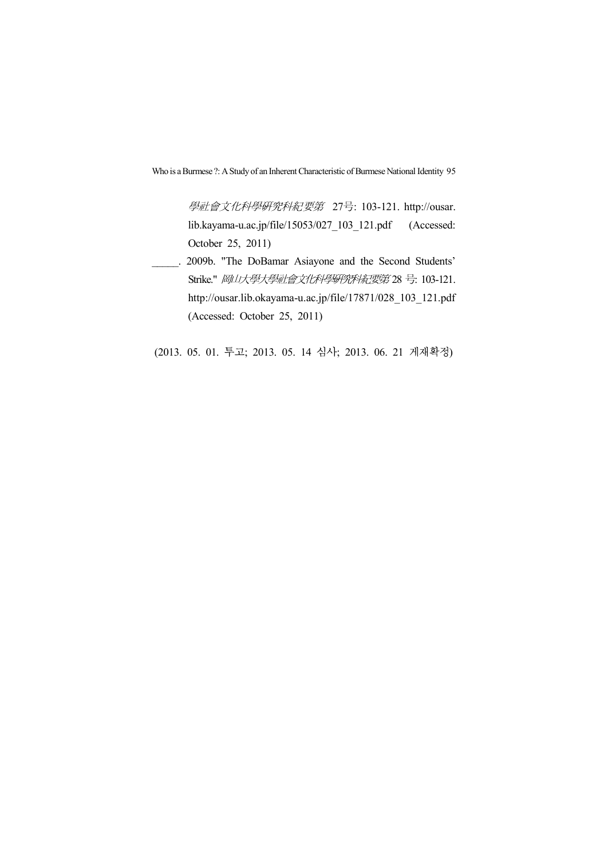學社會文化科學研究科紀要第 27号: 103-121. http://ousar.<br>lib.kayama-u.ac.jp/file/15053/027\_103\_121.pdf (Accessed: October 25, 2011)

\_\_\_\_\_. 2009b. "The DoBamar Asiayone and the Second Students' Strike." 岡山大學大學社會文化科學研究科紀要第 28 号: 103-121. http://ousar.lib.okayama-u.ac.jp/file/17871/028\_103\_121.pdf (Accessed: October 25, 2011)

(2013. 05. 01. 투고; 2013. 05. 14 심사; 2013. 06. 21 게재확정)